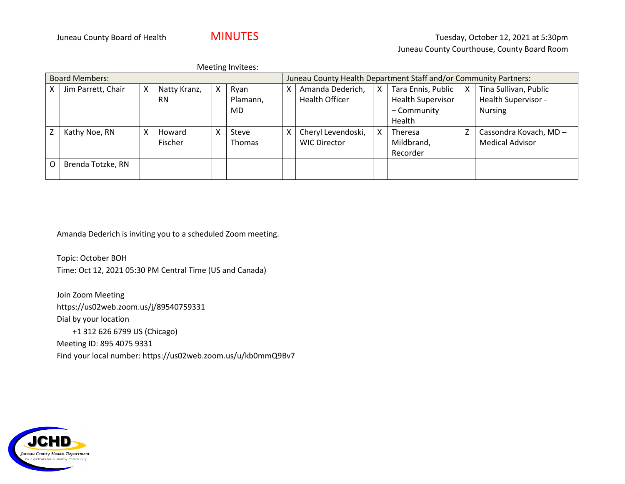|                       | Meeting Invitees:  |   |              |   |                                                                  |   |                       |   |                          |   |                        |
|-----------------------|--------------------|---|--------------|---|------------------------------------------------------------------|---|-----------------------|---|--------------------------|---|------------------------|
| <b>Board Members:</b> |                    |   |              |   | Juneau County Health Department Staff and/or Community Partners: |   |                       |   |                          |   |                        |
| X.                    | Jim Parrett, Chair | X | Natty Kranz, | X | Ryan                                                             | χ | Amanda Dederich,      | Χ | Tara Ennis, Public       | X | Tina Sullivan, Public  |
|                       |                    |   | <b>RN</b>    |   | Plamann,                                                         |   | <b>Health Officer</b> |   | <b>Health Supervisor</b> |   | Health Supervisor -    |
|                       |                    |   |              |   | MD.                                                              |   |                       |   | - Community              |   | <b>Nursing</b>         |
|                       |                    |   |              |   |                                                                  |   |                       |   | Health                   |   |                        |
|                       | Kathy Noe, RN      | x | Howard       | x | Steve                                                            |   | Cheryl Levendoski,    | X | <b>Theresa</b>           |   | Cassondra Kovach, MD-  |
|                       |                    |   | Fischer      |   | <b>Thomas</b>                                                    |   | <b>WIC Director</b>   |   | Mildbrand,               |   | <b>Medical Advisor</b> |
|                       |                    |   |              |   |                                                                  |   |                       |   | Recorder                 |   |                        |
| O                     | Brenda Totzke, RN  |   |              |   |                                                                  |   |                       |   |                          |   |                        |
|                       |                    |   |              |   |                                                                  |   |                       |   |                          |   |                        |

Amanda Dederich is inviting you to a scheduled Zoom meeting.

Topic: October BOH Time: Oct 12, 2021 05:30 PM Central Time (US and Canada)

Join Zoom Meeting https://us02web.zoom.us/j/89540759331 Dial by your location +1 312 626 6799 US (Chicago) Meeting ID: 895 4075 9331 Find your local number: https://us02web.zoom.us/u/kb0mmQ9Bv7

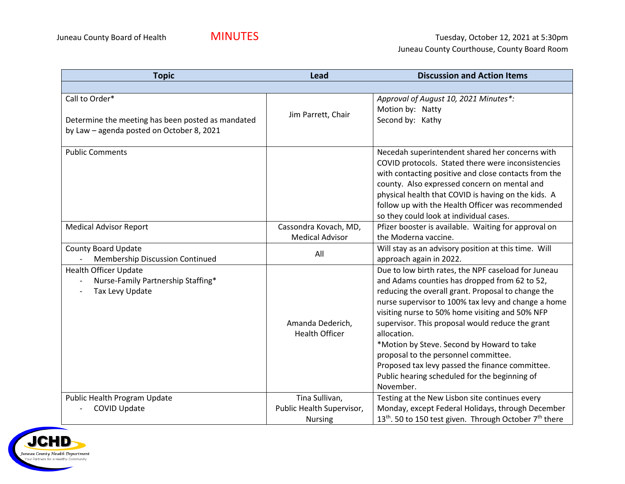| <b>Topic</b>                                                                                                     | <b>Lead</b>                                                   | <b>Discussion and Action Items</b>                                                                                                                                                                                                                                                                                                                                                                                                                                                                                                             |  |  |
|------------------------------------------------------------------------------------------------------------------|---------------------------------------------------------------|------------------------------------------------------------------------------------------------------------------------------------------------------------------------------------------------------------------------------------------------------------------------------------------------------------------------------------------------------------------------------------------------------------------------------------------------------------------------------------------------------------------------------------------------|--|--|
|                                                                                                                  |                                                               |                                                                                                                                                                                                                                                                                                                                                                                                                                                                                                                                                |  |  |
| Call to Order*<br>Determine the meeting has been posted as mandated<br>by Law - agenda posted on October 8, 2021 | Jim Parrett, Chair                                            | Approval of August 10, 2021 Minutes*:<br>Motion by: Natty<br>Second by: Kathy                                                                                                                                                                                                                                                                                                                                                                                                                                                                  |  |  |
| <b>Public Comments</b>                                                                                           |                                                               | Necedah superintendent shared her concerns with<br>COVID protocols. Stated there were inconsistencies<br>with contacting positive and close contacts from the<br>county. Also expressed concern on mental and<br>physical health that COVID is having on the kids. A<br>follow up with the Health Officer was recommended<br>so they could look at individual cases.                                                                                                                                                                           |  |  |
| <b>Medical Advisor Report</b>                                                                                    | Cassondra Kovach, MD,<br><b>Medical Advisor</b>               | Pfizer booster is available. Waiting for approval on<br>the Moderna vaccine.                                                                                                                                                                                                                                                                                                                                                                                                                                                                   |  |  |
| <b>County Board Update</b><br>Membership Discussion Continued                                                    | All                                                           | Will stay as an advisory position at this time. Will<br>approach again in 2022.                                                                                                                                                                                                                                                                                                                                                                                                                                                                |  |  |
| <b>Health Officer Update</b><br>Nurse-Family Partnership Staffing*<br>Tax Levy Update                            | Amanda Dederich,<br><b>Health Officer</b>                     | Due to low birth rates, the NPF caseload for Juneau<br>and Adams counties has dropped from 62 to 52,<br>reducing the overall grant. Proposal to change the<br>nurse supervisor to 100% tax levy and change a home<br>visiting nurse to 50% home visiting and 50% NFP<br>supervisor. This proposal would reduce the grant<br>allocation.<br>*Motion by Steve. Second by Howard to take<br>proposal to the personnel committee.<br>Proposed tax levy passed the finance committee.<br>Public hearing scheduled for the beginning of<br>November. |  |  |
| Public Health Program Update<br>COVID Update                                                                     | Tina Sullivan,<br>Public Health Supervisor,<br><b>Nursing</b> | Testing at the New Lisbon site continues every<br>Monday, except Federal Holidays, through December<br>13 <sup>th</sup> . 50 to 150 test given. Through October 7 <sup>th</sup> there                                                                                                                                                                                                                                                                                                                                                          |  |  |

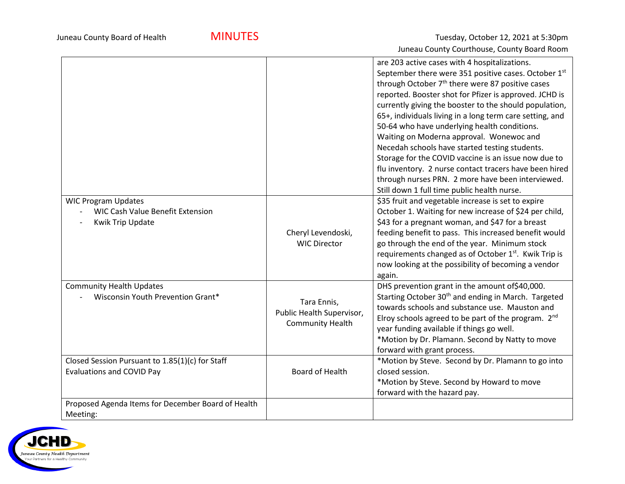|                                                                                           |                                                                     | are 203 active cases with 4 hospitalizations.<br>September there were 351 positive cases. October 1st<br>through October 7 <sup>th</sup> there were 87 positive cases<br>reported. Booster shot for Pfizer is approved. JCHD is<br>currently giving the booster to the should population,<br>65+, individuals living in a long term care setting, and<br>50-64 who have underlying health conditions.<br>Waiting on Moderna approval. Wonewoc and<br>Necedah schools have started testing students.<br>Storage for the COVID vaccine is an issue now due to<br>flu inventory. 2 nurse contact tracers have been hired<br>through nurses PRN. 2 more have been interviewed. |
|-------------------------------------------------------------------------------------------|---------------------------------------------------------------------|----------------------------------------------------------------------------------------------------------------------------------------------------------------------------------------------------------------------------------------------------------------------------------------------------------------------------------------------------------------------------------------------------------------------------------------------------------------------------------------------------------------------------------------------------------------------------------------------------------------------------------------------------------------------------|
| <b>WIC Program Updates</b><br><b>WIC Cash Value Benefit Extension</b><br>Kwik Trip Update | Cheryl Levendoski,<br><b>WIC Director</b>                           | Still down 1 full time public health nurse.<br>\$35 fruit and vegetable increase is set to expire<br>October 1. Waiting for new increase of \$24 per child,<br>\$43 for a pregnant woman, and \$47 for a breast<br>feeding benefit to pass. This increased benefit would<br>go through the end of the year. Minimum stock<br>requirements changed as of October 1 <sup>st</sup> . Kwik Trip is<br>now looking at the possibility of becoming a vendor<br>again.                                                                                                                                                                                                            |
| <b>Community Health Updates</b><br>Wisconsin Youth Prevention Grant*                      | Tara Ennis,<br>Public Health Supervisor,<br><b>Community Health</b> | DHS prevention grant in the amount of \$40,000.<br>Starting October 30 <sup>th</sup> and ending in March. Targeted<br>towards schools and substance use. Mauston and<br>Elroy schools agreed to be part of the program. 2 <sup>nd</sup><br>year funding available if things go well.<br>*Motion by Dr. Plamann. Second by Natty to move<br>forward with grant process.                                                                                                                                                                                                                                                                                                     |
| Closed Session Pursuant to 1.85(1)(c) for Staff<br>Evaluations and COVID Pay              | <b>Board of Health</b>                                              | *Motion by Steve. Second by Dr. Plamann to go into<br>closed session.<br>*Motion by Steve. Second by Howard to move<br>forward with the hazard pay.                                                                                                                                                                                                                                                                                                                                                                                                                                                                                                                        |
| Proposed Agenda Items for December Board of Health<br>Meeting:                            |                                                                     |                                                                                                                                                                                                                                                                                                                                                                                                                                                                                                                                                                                                                                                                            |